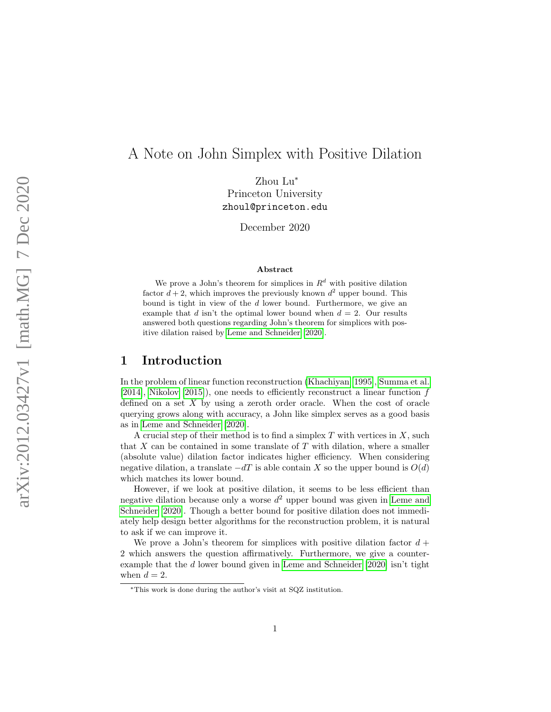# A Note on John Simplex with Positive Dilation

Zhou Lu ∗ Princeton University zhoul@princeton.edu

December 2020

#### Abstract

We prove a John's theorem for simplices in  $R<sup>d</sup>$  with positive dilation factor  $d+2$ , which improves the previously known  $d^2$  upper bound. This bound is tight in view of the d lower bound. Furthermore, we give an example that d isn't the optimal lower bound when  $d = 2$ . Our results answered both questions regarding John's theorem for simplices with positive dilation raised by [Leme and Schneider](#page-5-0) [\[2020\]](#page-5-0).

#### 1 Introduction

In the problem of linear function reconstruction [\(Khachiyan](#page-5-1) [\[1995\]](#page-5-1), [Summa et al.](#page-5-2) [\[2014\]](#page-5-2), [Nikolov](#page-5-3) [\[2015\]](#page-5-3)), one needs to efficiently reconstruct a linear function f defined on a set X by using a zeroth order oracle. When the cost of oracle querying grows along with accuracy, a John like simplex serves as a good basis as in [Leme and Schneider](#page-5-0) [\[2020\]](#page-5-0).

A crucial step of their method is to find a simplex T with vertices in X, such that  $X$  can be contained in some translate of  $T$  with dilation, where a smaller (absolute value) dilation factor indicates higher efficiency. When considering negative dilation, a translate  $-dT$  is able contain X so the upper bound is  $O(d)$ which matches its lower bound.

However, if we look at positive dilation, it seems to be less efficient than negative dilation because only a worse  $d^2$  upper bound was given in [Leme and](#page-5-0) [Schneider](#page-5-0) [\[2020\]](#page-5-0). Though a better bound for positive dilation does not immediately help design better algorithms for the reconstruction problem, it is natural to ask if we can improve it.

We prove a John's theorem for simplices with positive dilation factor  $d +$ 2 which answers the question affirmatively. Furthermore, we give a counterexample that the d lower bound given in [Leme and Schneider](#page-5-0) [\[2020\]](#page-5-0) isn't tight when  $d=2$ .

<sup>∗</sup>This work is done during the author's visit at SQZ institution.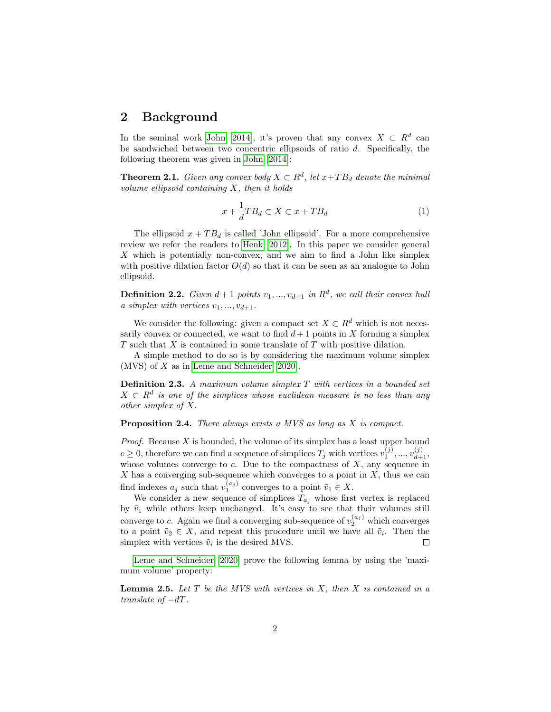## 2 Background

In the seminal work [John](#page-5-4) [\[2014\]](#page-5-4), it's proven that any convex  $X \subset R^d$  can be sandwiched between two concentric ellipsoids of ratio  $d$ . Specifically, the following theorem was given in [John](#page-5-4) [\[2014\]](#page-5-4):

**Theorem 2.1.** Given any convex body  $X \subset \mathbb{R}^d$ , let  $x+TB_d$  denote the minimal volume ellipsoid containing  $X$ , then it holds

$$
x + \frac{1}{d} T B_d \subset X \subset x + T B_d \tag{1}
$$

The ellipsoid  $x + TB<sub>d</sub>$  is called 'John ellipsoid'. For a more comprehensive review we refer the readers to [Henk](#page-5-5) [\[2012\]](#page-5-5). In this paper we consider general X which is potentially non-convex, and we aim to find a John like simplex with positive dilation factor  $O(d)$  so that it can be seen as an analogue to John ellipsoid.

**Definition 2.2.** Given  $d+1$  points  $v_1, ..., v_{d+1}$  in  $R^d$ , we call their convex hull a simplex with vertices  $v_1, ..., v_{d+1}$ .

We consider the following: given a compact set  $X \subset \mathbb{R}^d$  which is not necessarily convex or connected, we want to find  $d+1$  points in X forming a simplex  $T$  such that  $X$  is contained in some translate of  $T$  with positive dilation.

A simple method to do so is by considering the maximum volume simplex (MVS) of X as in [Leme and Schneider](#page-5-0) [\[2020\]](#page-5-0).

**Definition 2.3.** A maximum volume simplex  $T$  with vertices in a bounded set  $X \subset R^d$  is one of the simplices whose euclidean measure is no less than any other simplex of X.

Proposition 2.4. There always exists a MVS as long as X is compact.

*Proof.* Because  $X$  is bounded, the volume of its simplex has a least upper bound  $c \geq 0$ , therefore we can find a sequence of simplices  $T_j$  with vertices  $v_1^{(j)},...,v_{d+1}^{(j)}$ , whose volumes converge to c. Due to the compactness of  $X$ , any sequence in  $X$  has a converging sub-sequence which converges to a point in  $X$ , thus we can find indexes  $a_j$  such that  $v_1^{(a_j)}$  converges to a point  $\tilde{v}_1 \in X$ .

We consider a new sequence of simplices  $T_{a_j}$  whose first vertex is replaced by  $\tilde{v}_1$  while others keep unchanged. It's easy to see that their volumes still converge to c. Again we find a converging sub-sequence of  $v_2^{(a_j)}$  which converges to a point  $\tilde{v}_2 \in X$ , and repeat this procedure until we have all  $\tilde{v}_i$ . Then the simplex with vertices  $\tilde{v}_i$  is the desired MVS.  $\Box$ 

[Leme and Schneider](#page-5-0) [\[2020\]](#page-5-0) prove the following lemma by using the 'maximum volume' property:

<span id="page-1-0"></span>**Lemma 2.5.** Let  $T$  be the MVS with vertices in  $X$ , then  $X$  is contained in a translate of  $-dT$ .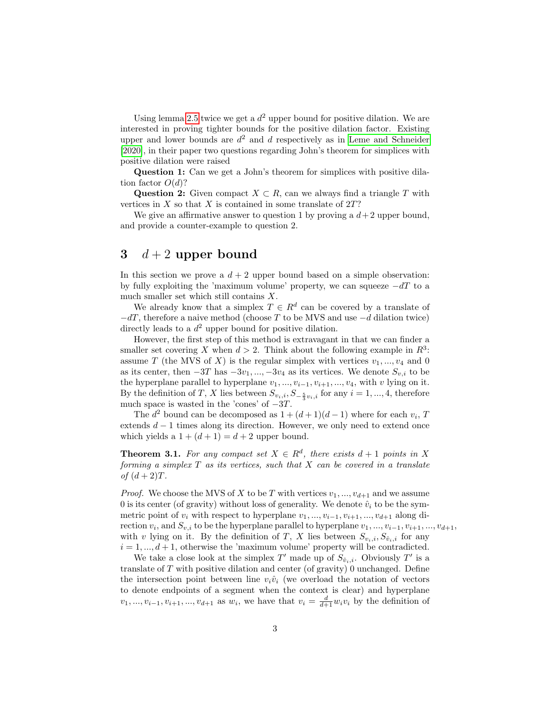Using lemma [2.5](#page-1-0) twice we get a  $d^2$  upper bound for positive dilation. We are interested in proving tighter bounds for the positive dilation factor. Existing upper and lower bounds are  $d^2$  and d respectively as in [Leme and Schneider](#page-5-0) [\[2020\]](#page-5-0), in their paper two questions regarding John's theorem for simplices with positive dilation were raised

Question 1: Can we get a John's theorem for simplices with positive dilation factor  $O(d)$ ?

Question 2: Given compact  $X \subset R$ , can we always find a triangle T with vertices in  $X$  so that  $X$  is contained in some translate of  $2T$ ?

We give an affirmative answer to question 1 by proving a  $d+2$  upper bound, and provide a counter-example to question 2.

#### 3  $d+2$  upper bound

In this section we prove a  $d + 2$  upper bound based on a simple observation: by fully exploiting the 'maximum volume' property, we can squeeze  $-dT$  to a much smaller set which still contains X.

We already know that a simplex  $T \in \mathbb{R}^d$  can be covered by a translate of  $-dT$ , therefore a naive method (choose T to be MVS and use  $-d$  dilation twice) directly leads to a  $d^2$  upper bound for positive dilation.

However, the first step of this method is extravagant in that we can finder a smaller set covering X when  $d > 2$ . Think about the following example in  $R^3$ : assume T (the MVS of X) is the regular simplex with vertices  $v_1, ..., v_4$  and 0 as its center, then  $-3T$  has  $-3v_1, ..., -3v_4$  as its vertices. We denote  $S_{v,i}$  to be the hyperplane parallel to hyperplane  $v_1, ..., v_{i-1}, v_{i+1}, ..., v_4$ , with v lying on it. By the definition of T, X lies between  $S_{v_i,i}$ ,  $S_{-\frac{5}{3}v_i,i}$  for any  $i = 1, ..., 4$ , therefore much space is wasted in the 'cones' of  $-3T$ .

The  $d^2$  bound can be decomposed as  $1 + (d+1)(d-1)$  where for each  $v_i$ , T extends  $d-1$  times along its direction. However, we only need to extend once which yields a  $1 + (d + 1) = d + 2$  upper bound.

**Theorem 3.1.** For any compact set  $X \in \mathbb{R}^d$ , there exists  $d+1$  points in X forming a simplex  $T$  as its vertices, such that  $X$  can be covered in a translate of  $(d+2)T$ .

*Proof.* We choose the MVS of X to be T with vertices  $v_1, ..., v_{d+1}$  and we assume 0 is its center (of gravity) without loss of generality. We denote  $\hat{v}_i$  to be the symmetric point of  $v_i$  with respect to hyperplane  $v_1, ..., v_{i-1}, v_{i+1}, ..., v_{d+1}$  along direction  $v_i$ , and  $S_{v,i}$  to be the hyperplane parallel to hyperplane  $v_1, ..., v_{i-1}, v_{i+1}, ..., v_{d+1}$ , with v lying on it. By the definition of T, X lies between  $S_{v_i,i}, S_{\hat{v}_i,i}$  for any  $i = 1, ..., d + 1$ , otherwise the 'maximum volume' property will be contradicted.

We take a close look at the simplex  $T'$  made up of  $S_{\hat{v}_i,i}$ . Obviously  $T'$  is a translate of  $T$  with positive dilation and center (of gravity) 0 unchanged. Define the intersection point between line  $v_i\hat{v}_i$  (we overload the notation of vectors to denote endpoints of a segment when the context is clear) and hyperplane  $v_1, ..., v_{i-1}, v_{i+1}, ..., v_{d+1}$  as  $w_i$ , we have that  $v_i = \frac{d}{d+1}w_i v_i$  by the definition of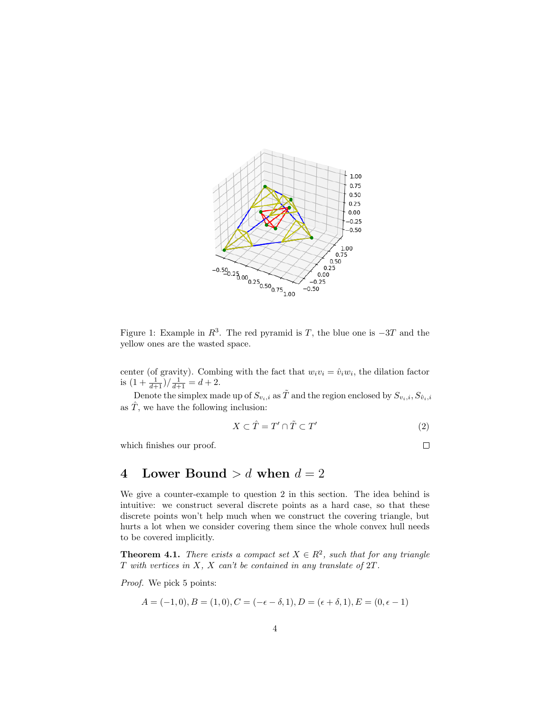

Figure 1: Example in  $R^3$ . The red pyramid is T, the blue one is  $-3T$  and the yellow ones are the wasted space.

center (of gravity). Combing with the fact that  $w_i v_i = \hat{v}_i w_i$ , the dilation factor is  $\left(1+\frac{1}{d+1}\right)/\frac{1}{d+1} = d+2.$ 

Denote the simplex made up of  $S_{v_i,i}$  as  $\tilde{T}$  and the region enclosed by  $S_{v_i,i}, S_{\hat{v}_i,i}$ as  $\hat{T}$ , we have the following inclusion:

$$
X \subset \hat{T} = T' \cap \tilde{T} \subset T'
$$
\n<sup>(2)</sup>

which finishes our proof.

$$
\qquad \qquad \Box
$$

# 4 Lower Bound  $> d$  when  $d = 2$

We give a counter-example to question 2 in this section. The idea behind is intuitive: we construct several discrete points as a hard case, so that these discrete points won't help much when we construct the covering triangle, but hurts a lot when we consider covering them since the whole convex hull needs to be covered implicitly.

**Theorem 4.1.** There exists a compact set  $X \in \mathbb{R}^2$ , such that for any triangle  $T$  with vertices in  $X$ ,  $X$  can't be contained in any translate of  $2T$ .

Proof. We pick 5 points:

$$
A = (-1,0), B = (1,0), C = (-\epsilon - \delta, 1), D = (\epsilon + \delta, 1), E = (0, \epsilon - 1)
$$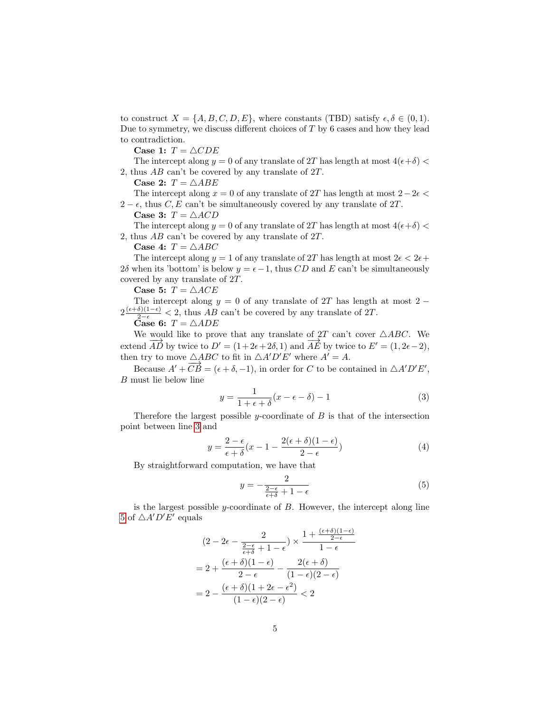to construct  $X = \{A, B, C, D, E\}$ , where constants (TBD) satisfy  $\epsilon, \delta \in (0, 1)$ . Due to symmetry, we discuss different choices of  $T$  by  $6$  cases and how they lead to contradiction.

Case 1:  $T = \triangle CDE$ 

The intercept along  $y = 0$  of any translate of 2T has length at most  $4(\epsilon + \delta)$ 2, thus AB can't be covered by any translate of 2T.

Case 2:  $T = \triangle ABE$ 

The intercept along  $x = 0$  of any translate of 2T has length at most  $2-2\epsilon <$  $2 - \epsilon$ , thus C, E can't be simultaneously covered by any translate of  $2T$ .

Case 3:  $T = \triangle ACD$ 

The intercept along  $y = 0$  of any translate of 2T has length at most  $4(\epsilon + \delta)$  < 2, thus AB can't be covered by any translate of 2T.

Case 4:  $T = \triangle ABC$ 

The intercept along  $y = 1$  of any translate of 2T has length at most  $2\epsilon < 2\epsilon +$  $2\delta$  when its 'bottom' is below  $y = \epsilon - 1$ , thus CD and E can't be simultaneously covered by any translate of 2T.

Case 5:  $T = \triangle ACE$ 

The intercept along  $y = 0$  of any translate of 2T has length at most 2 −  $2\frac{(\epsilon+\delta)(1-\epsilon)}{2-\epsilon}$  < 2, thus AB can't be covered by any translate of 2T.

Case 6:  $T = \triangle ADE$ 

We would like to prove that any translate of 2T can't cover  $\triangle ABC$ . We extend  $\overrightarrow{AD}$  by twice to  $D' = (1 + 2\epsilon + 2\delta, 1)$  and  $\overrightarrow{AE}$  by twice to  $E' = (1, 2\epsilon - 2)$ , then try to move  $\triangle ABC$  to fit in  $\triangle A'D'E'$  where  $A' = A$ .

Because  $A' + \overrightarrow{CB} = (\epsilon + \delta, -1)$ , in order for C to be contained in  $\triangle A'D'E'$ , B must lie below line

<span id="page-4-0"></span>
$$
y = \frac{1}{1 + \epsilon + \delta}(x - \epsilon - \delta) - 1\tag{3}
$$

Therefore the largest possible y-coordinate of  $B$  is that of the intersection point between line [3](#page-4-0) and

$$
y = \frac{2 - \epsilon}{\epsilon + \delta}(x - 1 - \frac{2(\epsilon + \delta)(1 - \epsilon)}{2 - \epsilon})
$$
(4)

By straightforward computation, we have that

<span id="page-4-1"></span>
$$
y = -\frac{2}{\frac{2-\epsilon}{\epsilon+\delta} + 1 - \epsilon} \tag{5}
$$

is the largest possible y-coordinate of  $B$ . However, the intercept along line [5](#page-4-1) of  $\triangle A'D'E'$  equals

$$
(2 - 2\epsilon - \frac{2}{\frac{2-\epsilon}{\epsilon+\delta} + 1 - \epsilon}) \times \frac{1 + \frac{(\epsilon+\delta)(1-\epsilon)}{2-\epsilon}}{1 - \epsilon}
$$

$$
= 2 + \frac{(\epsilon+\delta)(1-\epsilon)}{2-\epsilon} - \frac{2(\epsilon+\delta)}{(1-\epsilon)(2-\epsilon)}
$$

$$
= 2 - \frac{(\epsilon+\delta)(1+2\epsilon-\epsilon^2)}{(1-\epsilon)(2-\epsilon)} < 2
$$